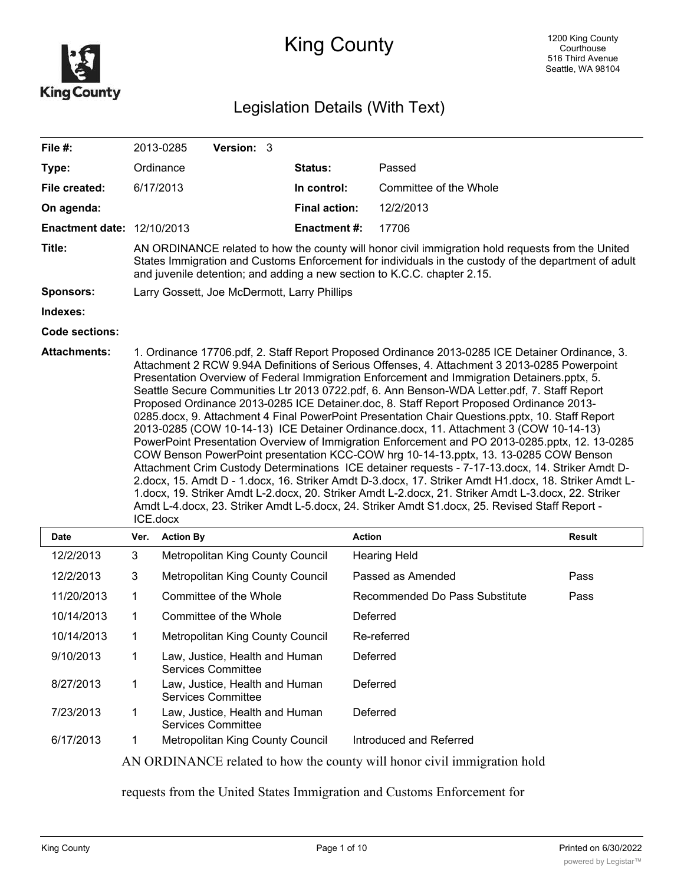

# King County

# Legislation Details (With Text)

| File #:                           |                                                                                                                                                                                                                                                                                                                                                                                                                                                                                                                                                                                                                                                                                                                                                                                                                                                                                                                                                                                                                                                                                                                                                                                                                                                                                                                   | Version: 3<br>2013-0285                                                                                                                                                                                                                                                               |                      |                                |               |  |
|-----------------------------------|-------------------------------------------------------------------------------------------------------------------------------------------------------------------------------------------------------------------------------------------------------------------------------------------------------------------------------------------------------------------------------------------------------------------------------------------------------------------------------------------------------------------------------------------------------------------------------------------------------------------------------------------------------------------------------------------------------------------------------------------------------------------------------------------------------------------------------------------------------------------------------------------------------------------------------------------------------------------------------------------------------------------------------------------------------------------------------------------------------------------------------------------------------------------------------------------------------------------------------------------------------------------------------------------------------------------|---------------------------------------------------------------------------------------------------------------------------------------------------------------------------------------------------------------------------------------------------------------------------------------|----------------------|--------------------------------|---------------|--|
| Type:                             |                                                                                                                                                                                                                                                                                                                                                                                                                                                                                                                                                                                                                                                                                                                                                                                                                                                                                                                                                                                                                                                                                                                                                                                                                                                                                                                   | Ordinance                                                                                                                                                                                                                                                                             | Status:              | Passed                         |               |  |
| File created:                     | 6/17/2013                                                                                                                                                                                                                                                                                                                                                                                                                                                                                                                                                                                                                                                                                                                                                                                                                                                                                                                                                                                                                                                                                                                                                                                                                                                                                                         |                                                                                                                                                                                                                                                                                       | In control:          | Committee of the Whole         |               |  |
| On agenda:                        |                                                                                                                                                                                                                                                                                                                                                                                                                                                                                                                                                                                                                                                                                                                                                                                                                                                                                                                                                                                                                                                                                                                                                                                                                                                                                                                   |                                                                                                                                                                                                                                                                                       | <b>Final action:</b> | 12/2/2013                      |               |  |
| <b>Enactment date: 12/10/2013</b> |                                                                                                                                                                                                                                                                                                                                                                                                                                                                                                                                                                                                                                                                                                                                                                                                                                                                                                                                                                                                                                                                                                                                                                                                                                                                                                                   |                                                                                                                                                                                                                                                                                       | <b>Enactment#:</b>   | 17706                          |               |  |
| Title:                            |                                                                                                                                                                                                                                                                                                                                                                                                                                                                                                                                                                                                                                                                                                                                                                                                                                                                                                                                                                                                                                                                                                                                                                                                                                                                                                                   | AN ORDINANCE related to how the county will honor civil immigration hold requests from the United<br>States Immigration and Customs Enforcement for individuals in the custody of the department of adult<br>and juvenile detention; and adding a new section to K.C.C. chapter 2.15. |                      |                                |               |  |
| <b>Sponsors:</b>                  | Larry Gossett, Joe McDermott, Larry Phillips                                                                                                                                                                                                                                                                                                                                                                                                                                                                                                                                                                                                                                                                                                                                                                                                                                                                                                                                                                                                                                                                                                                                                                                                                                                                      |                                                                                                                                                                                                                                                                                       |                      |                                |               |  |
| Indexes:                          |                                                                                                                                                                                                                                                                                                                                                                                                                                                                                                                                                                                                                                                                                                                                                                                                                                                                                                                                                                                                                                                                                                                                                                                                                                                                                                                   |                                                                                                                                                                                                                                                                                       |                      |                                |               |  |
| <b>Code sections:</b>             |                                                                                                                                                                                                                                                                                                                                                                                                                                                                                                                                                                                                                                                                                                                                                                                                                                                                                                                                                                                                                                                                                                                                                                                                                                                                                                                   |                                                                                                                                                                                                                                                                                       |                      |                                |               |  |
| <b>Attachments:</b>               | 1. Ordinance 17706.pdf, 2. Staff Report Proposed Ordinance 2013-0285 ICE Detainer Ordinance, 3.<br>Attachment 2 RCW 9.94A Definitions of Serious Offenses, 4. Attachment 3 2013-0285 Powerpoint<br>Presentation Overview of Federal Immigration Enforcement and Immigration Detainers.pptx, 5.<br>Seattle Secure Communities Ltr 2013 0722.pdf, 6. Ann Benson-WDA Letter.pdf, 7. Staff Report<br>Proposed Ordinance 2013-0285 ICE Detainer.doc, 8. Staff Report Proposed Ordinance 2013-<br>0285.docx, 9. Attachment 4 Final PowerPoint Presentation Chair Questions.pptx, 10. Staff Report<br>2013-0285 (COW 10-14-13) ICE Detainer Ordinance.docx, 11. Attachment 3 (COW 10-14-13)<br>PowerPoint Presentation Overview of Immigration Enforcement and PO 2013-0285.pptx, 12. 13-0285<br>COW Benson PowerPoint presentation KCC-COW hrg 10-14-13.pptx, 13. 13-0285 COW Benson<br>Attachment Crim Custody Determinations ICE detainer requests - 7-17-13.docx, 14. Striker Amdt D-<br>2.docx, 15. Amdt D - 1.docx, 16. Striker Amdt D-3.docx, 17. Striker Amdt H1.docx, 18. Striker Amdt L-<br>1.docx, 19. Striker Amdt L-2.docx, 20. Striker Amdt L-2.docx, 21. Striker Amdt L-3.docx, 22. Striker<br>Amdt L-4.docx, 23. Striker Amdt L-5.docx, 24. Striker Amdt S1.docx, 25. Revised Staff Report -<br>ICE.docx |                                                                                                                                                                                                                                                                                       |                      |                                |               |  |
| Date                              | Ver.                                                                                                                                                                                                                                                                                                                                                                                                                                                                                                                                                                                                                                                                                                                                                                                                                                                                                                                                                                                                                                                                                                                                                                                                                                                                                                              | <b>Action By</b>                                                                                                                                                                                                                                                                      |                      | <b>Action</b>                  | <b>Result</b> |  |
| 12/2/2013                         | 3                                                                                                                                                                                                                                                                                                                                                                                                                                                                                                                                                                                                                                                                                                                                                                                                                                                                                                                                                                                                                                                                                                                                                                                                                                                                                                                 | Metropolitan King County Council                                                                                                                                                                                                                                                      |                      | <b>Hearing Held</b>            |               |  |
| 12/2/2013                         | 3                                                                                                                                                                                                                                                                                                                                                                                                                                                                                                                                                                                                                                                                                                                                                                                                                                                                                                                                                                                                                                                                                                                                                                                                                                                                                                                 | Metropolitan King County Council                                                                                                                                                                                                                                                      |                      | Passed as Amended              | Pass          |  |
| 11/20/2013                        | 1                                                                                                                                                                                                                                                                                                                                                                                                                                                                                                                                                                                                                                                                                                                                                                                                                                                                                                                                                                                                                                                                                                                                                                                                                                                                                                                 | Committee of the Whole                                                                                                                                                                                                                                                                |                      | Recommended Do Pass Substitute | Pass          |  |
| 10/14/2013                        | 1                                                                                                                                                                                                                                                                                                                                                                                                                                                                                                                                                                                                                                                                                                                                                                                                                                                                                                                                                                                                                                                                                                                                                                                                                                                                                                                 | Committee of the Whole                                                                                                                                                                                                                                                                |                      | Deferred                       |               |  |
| 10/14/2013                        | 1                                                                                                                                                                                                                                                                                                                                                                                                                                                                                                                                                                                                                                                                                                                                                                                                                                                                                                                                                                                                                                                                                                                                                                                                                                                                                                                 | Metropolitan King County Council                                                                                                                                                                                                                                                      |                      | Re-referred                    |               |  |
| 9/10/2013                         | 1                                                                                                                                                                                                                                                                                                                                                                                                                                                                                                                                                                                                                                                                                                                                                                                                                                                                                                                                                                                                                                                                                                                                                                                                                                                                                                                 | Law, Justice, Health and Human<br><b>Services Committee</b>                                                                                                                                                                                                                           |                      | Deferred                       |               |  |
| 8/27/2013                         | 1                                                                                                                                                                                                                                                                                                                                                                                                                                                                                                                                                                                                                                                                                                                                                                                                                                                                                                                                                                                                                                                                                                                                                                                                                                                                                                                 | Law, Justice, Health and Human<br><b>Services Committee</b>                                                                                                                                                                                                                           |                      | Deferred                       |               |  |
| 7/23/2013                         | 1                                                                                                                                                                                                                                                                                                                                                                                                                                                                                                                                                                                                                                                                                                                                                                                                                                                                                                                                                                                                                                                                                                                                                                                                                                                                                                                 | Law, Justice, Health and Human<br><b>Services Committee</b>                                                                                                                                                                                                                           |                      | Deferred                       |               |  |
| 6/17/2013                         | 1                                                                                                                                                                                                                                                                                                                                                                                                                                                                                                                                                                                                                                                                                                                                                                                                                                                                                                                                                                                                                                                                                                                                                                                                                                                                                                                 | Metropolitan King County Council                                                                                                                                                                                                                                                      |                      | Introduced and Referred        |               |  |
|                                   | AN ORDINANCE related to how the county will honor civil immigration hold                                                                                                                                                                                                                                                                                                                                                                                                                                                                                                                                                                                                                                                                                                                                                                                                                                                                                                                                                                                                                                                                                                                                                                                                                                          |                                                                                                                                                                                                                                                                                       |                      |                                |               |  |

requests from the United States Immigration and Customs Enforcement for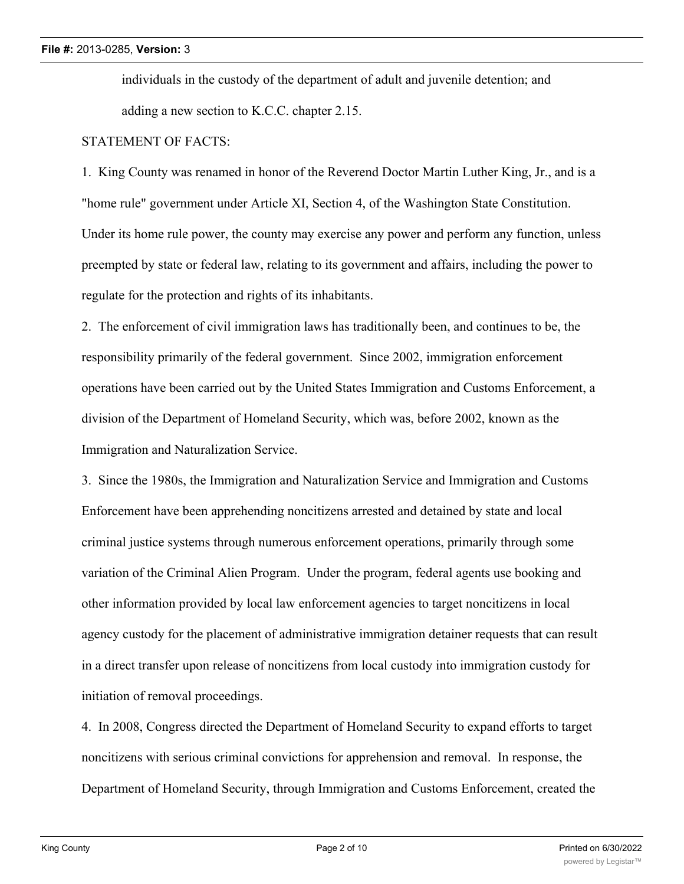individuals in the custody of the department of adult and juvenile detention; and adding a new section to K.C.C. chapter 2.15.

#### STATEMENT OF FACTS:

1. King County was renamed in honor of the Reverend Doctor Martin Luther King, Jr., and is a "home rule" government under Article XI, Section 4, of the Washington State Constitution. Under its home rule power, the county may exercise any power and perform any function, unless preempted by state or federal law, relating to its government and affairs, including the power to regulate for the protection and rights of its inhabitants.

2. The enforcement of civil immigration laws has traditionally been, and continues to be, the responsibility primarily of the federal government. Since 2002, immigration enforcement operations have been carried out by the United States Immigration and Customs Enforcement, a division of the Department of Homeland Security, which was, before 2002, known as the Immigration and Naturalization Service.

3. Since the 1980s, the Immigration and Naturalization Service and Immigration and Customs Enforcement have been apprehending noncitizens arrested and detained by state and local criminal justice systems through numerous enforcement operations, primarily through some variation of the Criminal Alien Program. Under the program, federal agents use booking and other information provided by local law enforcement agencies to target noncitizens in local agency custody for the placement of administrative immigration detainer requests that can result in a direct transfer upon release of noncitizens from local custody into immigration custody for initiation of removal proceedings.

4. In 2008, Congress directed the Department of Homeland Security to expand efforts to target noncitizens with serious criminal convictions for apprehension and removal. In response, the Department of Homeland Security, through Immigration and Customs Enforcement, created the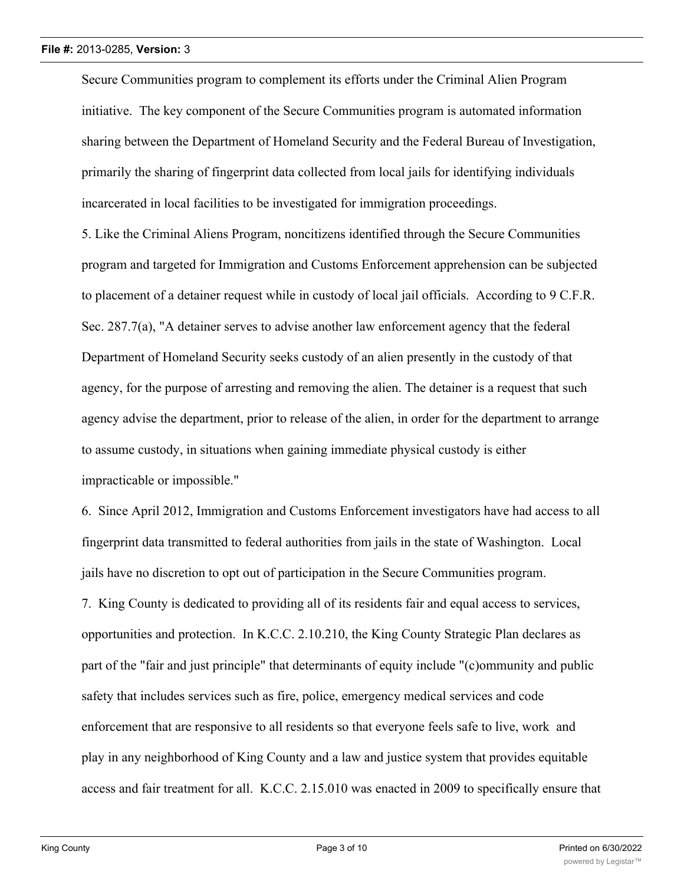Secure Communities program to complement its efforts under the Criminal Alien Program initiative. The key component of the Secure Communities program is automated information sharing between the Department of Homeland Security and the Federal Bureau of Investigation, primarily the sharing of fingerprint data collected from local jails for identifying individuals incarcerated in local facilities to be investigated for immigration proceedings.

5. Like the Criminal Aliens Program, noncitizens identified through the Secure Communities program and targeted for Immigration and Customs Enforcement apprehension can be subjected to placement of a detainer request while in custody of local jail officials. According to 9 C.F.R. Sec. 287.7(a), "A detainer serves to advise another law enforcement agency that the federal Department of Homeland Security seeks custody of an alien presently in the custody of that agency, for the purpose of arresting and removing the alien. The detainer is a request that such agency advise the department, prior to release of the alien, in order for the department to arrange to assume custody, in situations when gaining immediate physical custody is either impracticable or impossible."

6. Since April 2012, Immigration and Customs Enforcement investigators have had access to all fingerprint data transmitted to federal authorities from jails in the state of Washington. Local jails have no discretion to opt out of participation in the Secure Communities program.

7. King County is dedicated to providing all of its residents fair and equal access to services, opportunities and protection. In K.C.C. 2.10.210, the King County Strategic Plan declares as part of the "fair and just principle" that determinants of equity include "(c)ommunity and public safety that includes services such as fire, police, emergency medical services and code enforcement that are responsive to all residents so that everyone feels safe to live, work and play in any neighborhood of King County and a law and justice system that provides equitable access and fair treatment for all. K.C.C. 2.15.010 was enacted in 2009 to specifically ensure that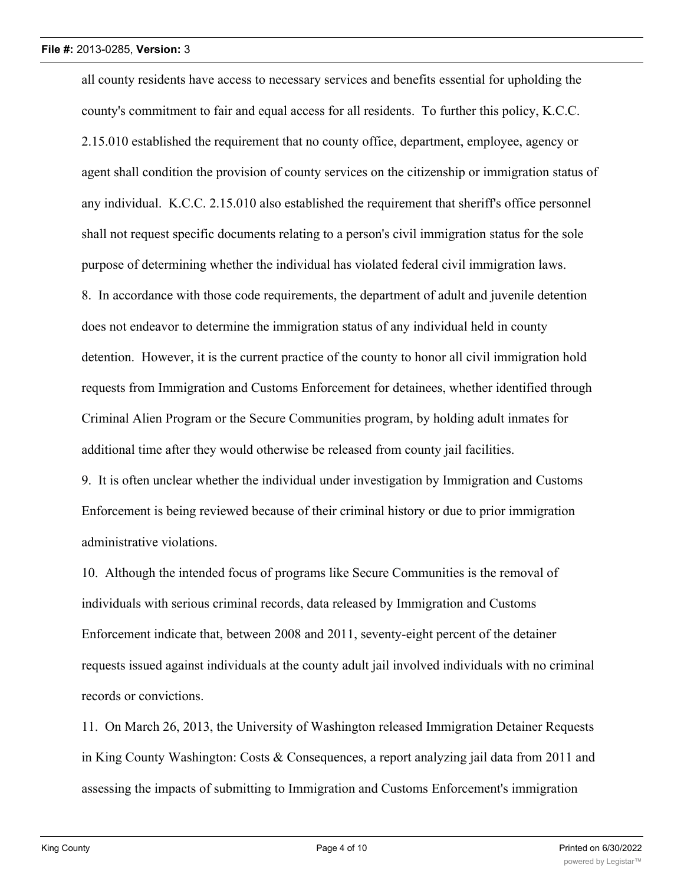all county residents have access to necessary services and benefits essential for upholding the county's commitment to fair and equal access for all residents. To further this policy, K.C.C. 2.15.010 established the requirement that no county office, department, employee, agency or agent shall condition the provision of county services on the citizenship or immigration status of any individual. K.C.C. 2.15.010 also established the requirement that sheriff's office personnel shall not request specific documents relating to a person's civil immigration status for the sole purpose of determining whether the individual has violated federal civil immigration laws. 8. In accordance with those code requirements, the department of adult and juvenile detention does not endeavor to determine the immigration status of any individual held in county detention. However, it is the current practice of the county to honor all civil immigration hold requests from Immigration and Customs Enforcement for detainees, whether identified through Criminal Alien Program or the Secure Communities program, by holding adult inmates for additional time after they would otherwise be released from county jail facilities.

9. It is often unclear whether the individual under investigation by Immigration and Customs Enforcement is being reviewed because of their criminal history or due to prior immigration administrative violations.

10. Although the intended focus of programs like Secure Communities is the removal of individuals with serious criminal records, data released by Immigration and Customs Enforcement indicate that, between 2008 and 2011, seventy-eight percent of the detainer requests issued against individuals at the county adult jail involved individuals with no criminal records or convictions.

11. On March 26, 2013, the University of Washington released Immigration Detainer Requests in King County Washington: Costs & Consequences, a report analyzing jail data from 2011 and assessing the impacts of submitting to Immigration and Customs Enforcement's immigration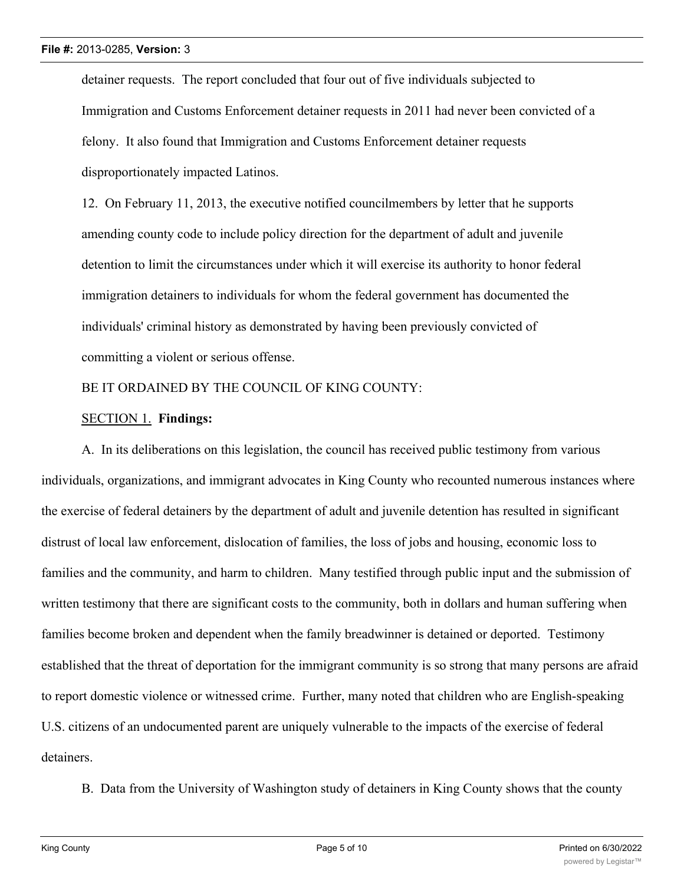detainer requests. The report concluded that four out of five individuals subjected to Immigration and Customs Enforcement detainer requests in 2011 had never been convicted of a felony. It also found that Immigration and Customs Enforcement detainer requests disproportionately impacted Latinos.

12. On February 11, 2013, the executive notified councilmembers by letter that he supports amending county code to include policy direction for the department of adult and juvenile detention to limit the circumstances under which it will exercise its authority to honor federal immigration detainers to individuals for whom the federal government has documented the individuals' criminal history as demonstrated by having been previously convicted of committing a violent or serious offense.

## BE IT ORDAINED BY THE COUNCIL OF KING COUNTY:

## SECTION 1. **Findings:**

A. In its deliberations on this legislation, the council has received public testimony from various individuals, organizations, and immigrant advocates in King County who recounted numerous instances where the exercise of federal detainers by the department of adult and juvenile detention has resulted in significant distrust of local law enforcement, dislocation of families, the loss of jobs and housing, economic loss to families and the community, and harm to children. Many testified through public input and the submission of written testimony that there are significant costs to the community, both in dollars and human suffering when families become broken and dependent when the family breadwinner is detained or deported. Testimony established that the threat of deportation for the immigrant community is so strong that many persons are afraid to report domestic violence or witnessed crime. Further, many noted that children who are English-speaking U.S. citizens of an undocumented parent are uniquely vulnerable to the impacts of the exercise of federal detainers.

B. Data from the University of Washington study of detainers in King County shows that the county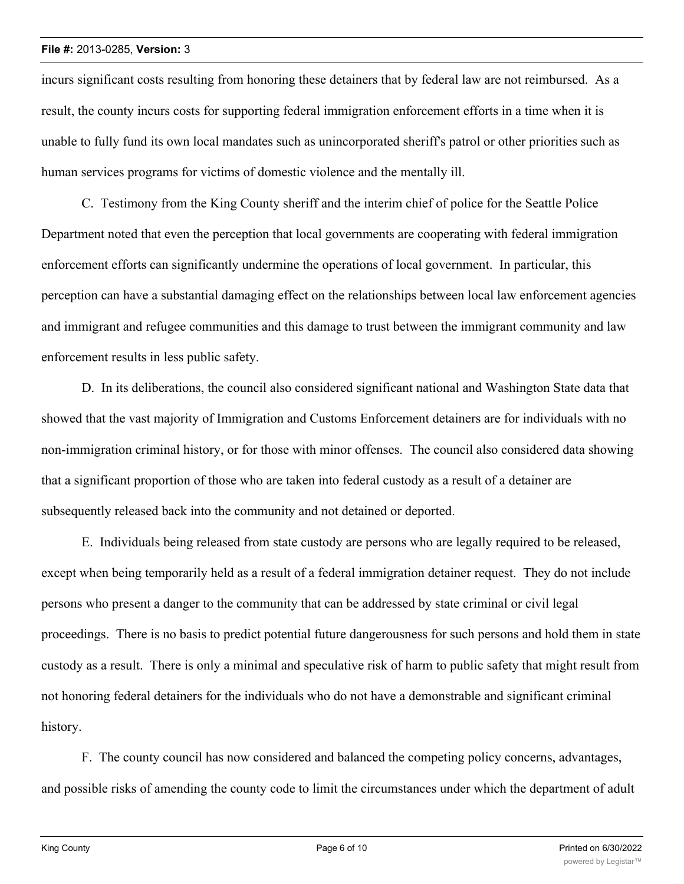#### **File #:** 2013-0285, **Version:** 3

incurs significant costs resulting from honoring these detainers that by federal law are not reimbursed. As a result, the county incurs costs for supporting federal immigration enforcement efforts in a time when it is unable to fully fund its own local mandates such as unincorporated sheriff's patrol or other priorities such as human services programs for victims of domestic violence and the mentally ill.

C. Testimony from the King County sheriff and the interim chief of police for the Seattle Police Department noted that even the perception that local governments are cooperating with federal immigration enforcement efforts can significantly undermine the operations of local government. In particular, this perception can have a substantial damaging effect on the relationships between local law enforcement agencies and immigrant and refugee communities and this damage to trust between the immigrant community and law enforcement results in less public safety.

D. In its deliberations, the council also considered significant national and Washington State data that showed that the vast majority of Immigration and Customs Enforcement detainers are for individuals with no non-immigration criminal history, or for those with minor offenses. The council also considered data showing that a significant proportion of those who are taken into federal custody as a result of a detainer are subsequently released back into the community and not detained or deported.

E. Individuals being released from state custody are persons who are legally required to be released, except when being temporarily held as a result of a federal immigration detainer request. They do not include persons who present a danger to the community that can be addressed by state criminal or civil legal proceedings. There is no basis to predict potential future dangerousness for such persons and hold them in state custody as a result. There is only a minimal and speculative risk of harm to public safety that might result from not honoring federal detainers for the individuals who do not have a demonstrable and significant criminal history.

F. The county council has now considered and balanced the competing policy concerns, advantages, and possible risks of amending the county code to limit the circumstances under which the department of adult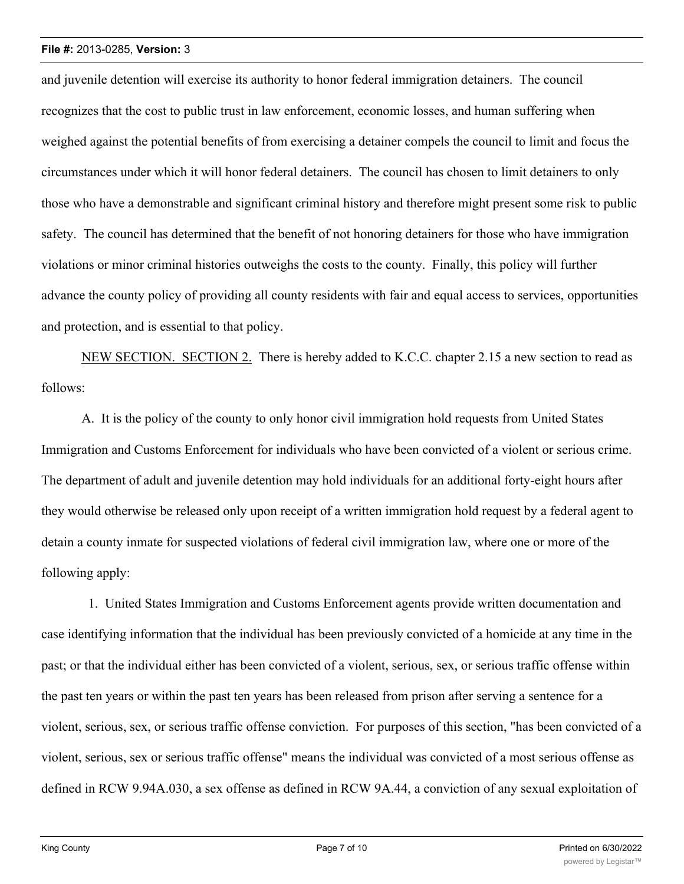#### **File #:** 2013-0285, **Version:** 3

and juvenile detention will exercise its authority to honor federal immigration detainers. The council recognizes that the cost to public trust in law enforcement, economic losses, and human suffering when weighed against the potential benefits of from exercising a detainer compels the council to limit and focus the circumstances under which it will honor federal detainers. The council has chosen to limit detainers to only those who have a demonstrable and significant criminal history and therefore might present some risk to public safety. The council has determined that the benefit of not honoring detainers for those who have immigration violations or minor criminal histories outweighs the costs to the county. Finally, this policy will further advance the county policy of providing all county residents with fair and equal access to services, opportunities and protection, and is essential to that policy.

NEW SECTION. SECTION 2. There is hereby added to K.C.C. chapter 2.15 a new section to read as follows:

A. It is the policy of the county to only honor civil immigration hold requests from United States Immigration and Customs Enforcement for individuals who have been convicted of a violent or serious crime. The department of adult and juvenile detention may hold individuals for an additional forty-eight hours after they would otherwise be released only upon receipt of a written immigration hold request by a federal agent to detain a county inmate for suspected violations of federal civil immigration law, where one or more of the following apply:

 1. United States Immigration and Customs Enforcement agents provide written documentation and case identifying information that the individual has been previously convicted of a homicide at any time in the past; or that the individual either has been convicted of a violent, serious, sex, or serious traffic offense within the past ten years or within the past ten years has been released from prison after serving a sentence for a violent, serious, sex, or serious traffic offense conviction. For purposes of this section, "has been convicted of a violent, serious, sex or serious traffic offense" means the individual was convicted of a most serious offense as defined in RCW 9.94A.030, a sex offense as defined in RCW 9A.44, a conviction of any sexual exploitation of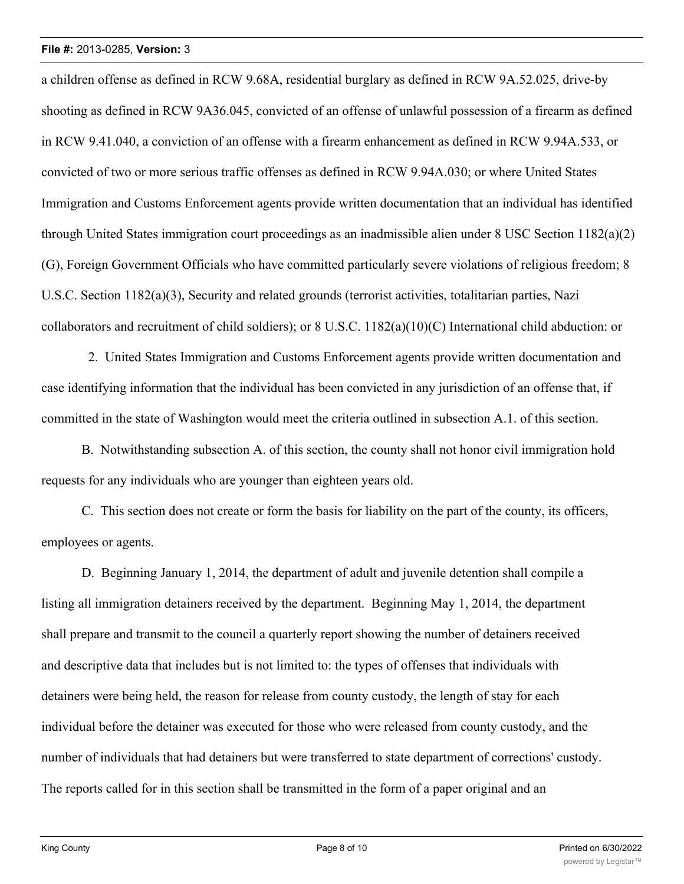a children offense as defined in RCW 9.68A, residential burglary as defined in RCW 9A.52.025, drive-by shooting as defined in RCW 9A36.045, convicted of an offense of unlawful possession of a firearm as defined in RCW 9.41.040, a conviction of an offense with a firearm enhancement as defined in RCW 9.94A.533, or convicted of two or more serious traffic offenses as defined in RCW 9.94A.030; or where United States Immigration and Customs Enforcement agents provide written documentation that an individual has identified through United States immigration court proceedings as an inadmissible alien under 8 USC Section 1182(a)(2) (G), Foreign Government Officials who have committed particularly severe violations of religious freedom; 8 U.S.C. Section 1182(a)(3), Security and related grounds (terrorist activities, totalitarian parties, Nazi collaborators and recruitment of child soldiers); or 8 U.S.C. 1182(a)(10)(C) International child abduction: or

 2. United States Immigration and Customs Enforcement agents provide written documentation and case identifying information that the individual has been convicted in any jurisdiction of an offense that, if committed in the state of Washington would meet the criteria outlined in subsection A.1. of this section.

B. Notwithstanding subsection A. of this section, the county shall not honor civil immigration hold requests for any individuals who are younger than eighteen years old.

C. This section does not create or form the basis for liability on the part of the county, its officers, employees or agents.

D. Beginning January 1, 2014, the department of adult and juvenile detention shall compile a listing all immigration detainers received by the department. Beginning May 1, 2014, the department shall prepare and transmit to the council a quarterly report showing the number of detainers received and descriptive data that includes but is not limited to: the types of offenses that individuals with detainers were being held, the reason for release from county custody, the length of stay for each individual before the detainer was executed for those who were released from county custody, and the number of individuals that had detainers but were transferred to state department of corrections' custody. The reports called for in this section shall be transmitted in the form of a paper original and an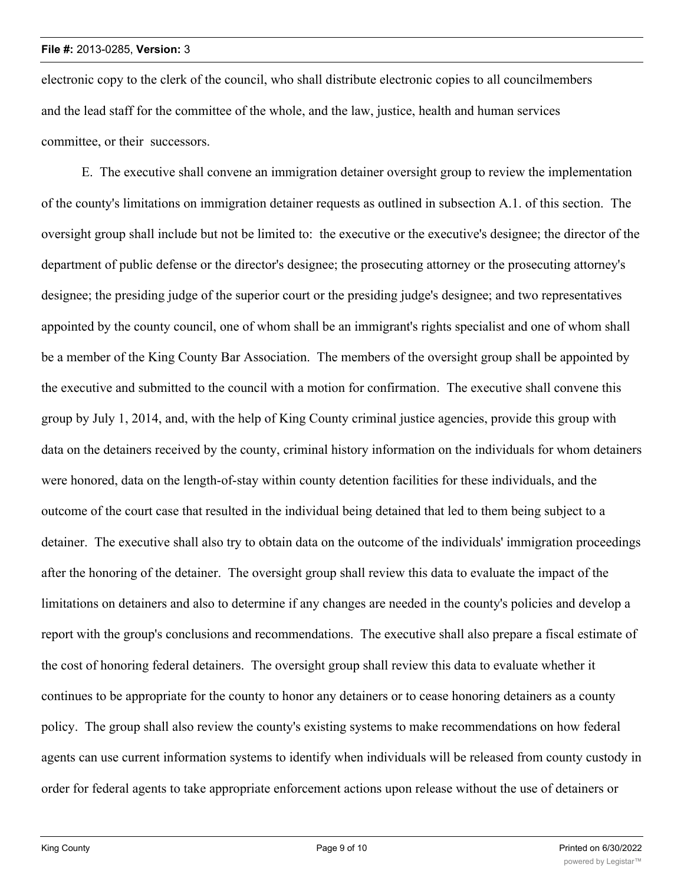electronic copy to the clerk of the council, who shall distribute electronic copies to all councilmembers and the lead staff for the committee of the whole, and the law, justice, health and human services committee, or their successors.

E. The executive shall convene an immigration detainer oversight group to review the implementation of the county's limitations on immigration detainer requests as outlined in subsection A.1. of this section. The oversight group shall include but not be limited to: the executive or the executive's designee; the director of the department of public defense or the director's designee; the prosecuting attorney or the prosecuting attorney's designee; the presiding judge of the superior court or the presiding judge's designee; and two representatives appointed by the county council, one of whom shall be an immigrant's rights specialist and one of whom shall be a member of the King County Bar Association. The members of the oversight group shall be appointed by the executive and submitted to the council with a motion for confirmation. The executive shall convene this group by July 1, 2014, and, with the help of King County criminal justice agencies, provide this group with data on the detainers received by the county, criminal history information on the individuals for whom detainers were honored, data on the length-of-stay within county detention facilities for these individuals, and the outcome of the court case that resulted in the individual being detained that led to them being subject to a detainer. The executive shall also try to obtain data on the outcome of the individuals' immigration proceedings after the honoring of the detainer. The oversight group shall review this data to evaluate the impact of the limitations on detainers and also to determine if any changes are needed in the county's policies and develop a report with the group's conclusions and recommendations. The executive shall also prepare a fiscal estimate of the cost of honoring federal detainers. The oversight group shall review this data to evaluate whether it continues to be appropriate for the county to honor any detainers or to cease honoring detainers as a county policy. The group shall also review the county's existing systems to make recommendations on how federal agents can use current information systems to identify when individuals will be released from county custody in order for federal agents to take appropriate enforcement actions upon release without the use of detainers or